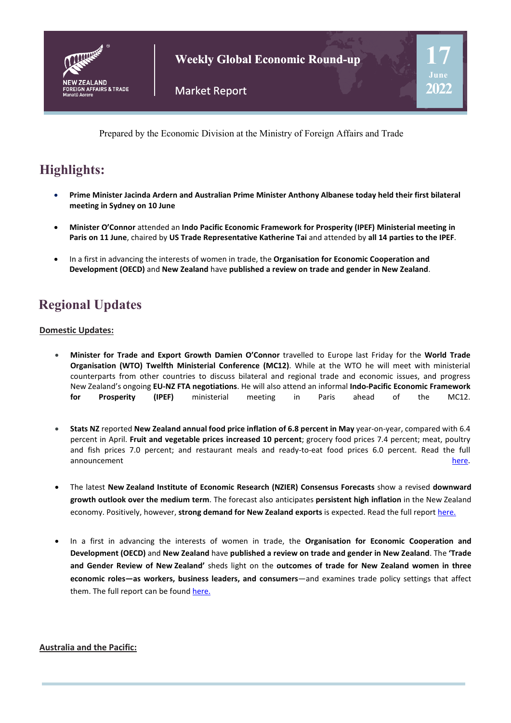

**Weekly Global Economic Round-up**

**17**

**2022**

Prepared by the Economic Division at the Ministry of Foreign Affairs and Trade

## **Highlights:**

- **Prime Minister Jacinda Ardern and Australian Prime Minister Anthony Albanese today held their first bilateral meeting in Sydney on 10 June**
- **Minister O'Connor** attended an **Indo Pacific Economic Framework for Prosperity (IPEF) Ministerial meeting in Paris on 11 June**, chaired by **US Trade Representative Katherine Tai** and attended by **all 14 parties to the IPEF**.
- In a first in advancing the interests of women in trade, the **Organisation for Economic Cooperation and Development (OECD)** and **New Zealand** have **published a review on trade and gender in New Zealand**.

# **Regional Updates**

#### **Domestic Updates:**

- **Minister for Trade and Export Growth Damien O'Connor** travelled to Europe last Friday for the **World Trade Organisation (WTO) Twelfth Ministerial Conference (MC12)**. While at the WTO he will meet with ministerial counterparts from other countries to discuss bilateral and regional trade and economic issues, and progress New Zealand's ongoing **EU-NZ FTA negotiations**. He will also attend an informal **Indo-Pacific Economic Framework for Prosperity (IPEF)** ministerial meeting in Paris ahead of the MC12.
- **Stats NZ** reported **New Zealand annual food price inflation of 6.8 percent in May** year-on-year, compared with 6.4 percent in April. **Fruit and vegetable prices increased 10 percent**; grocery food prices 7.4 percent; meat, poultry and fish prices 7.0 percent; and restaurant meals and ready-to-eat food prices 6.0 percent. Read the full announcement [here.](https://www.stats.govt.nz/news/annual-food-price-increase-remains-high-at-6-8-percent/) The contract of the contract of the contract of the contract of the contract of the contract of the contract of the contract of the contract of the contract of the contract of the contract of the contrac
- The latest **New Zealand Institute of Economic Research (NZIER) Consensus Forecasts** show a revised **downward growth outlook over the medium term**. The forecast also anticipates **persistent high inflation** in the New Zealand economy. Positively, however, **strong demand for New Zealand exports** is expected. Read the full report [here.](https://www.nzier.org.nz/publications/nzier-consensus-forecasts-show-a-lower-growth-outlook-beyond-the-higher-starting-point-june-2022)
- In a first in advancing the interests of women in trade, the **Organisation for Economic Cooperation and Development (OECD)** and **New Zealand** have **published a review on trade and gender in New Zealand**. The **'Trade and Gender Review of New Zealand'** sheds light on the **outcomes of trade for New Zealand women in three economic roles—as workers, business leaders, and consumers**—and examines trade policy settings that affect them. The full report can be foun[d here.](https://www.oecd-ilibrary.org/trade/trade-and-gender-review-of-new-zealand_923576ea-en)

#### **Australia and the Pacific:**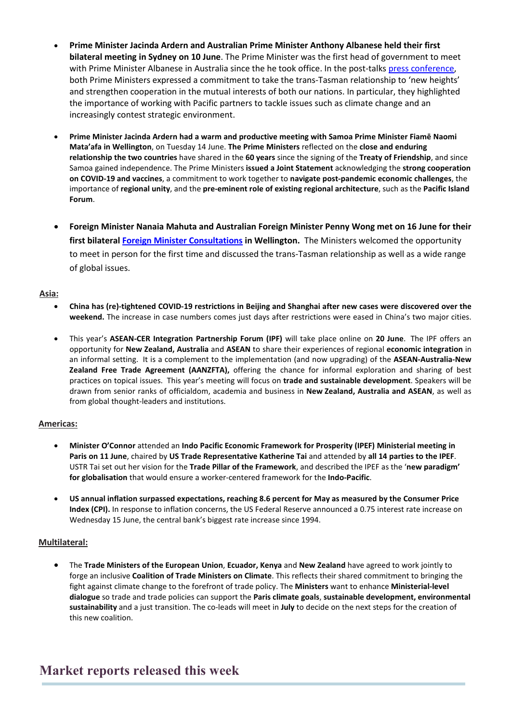- **Prime Minister Jacinda Ardern and Australian Prime Minister Anthony Albanese held their first bilateral meeting in Sydney on 10 June**. The Prime Minister was the first head of government to meet with Prime Minister Albanese in Australia since the he took office. In the post-talk[s press conference,](https://www.pm.gov.au/media/press-conference-sydney) both Prime Ministers expressed a commitment to take the trans-Tasman relationship to 'new heights' and strengthen cooperation in the mutual interests of both our nations. In particular, they highlighted the importance of working with Pacific partners to tackle issues such as climate change and an increasingly contest strategic environment.
- **Prime Minister Jacinda Ardern had a warm and productive meeting with Samoa Prime Minister Fiamē Naomi Mata'afa in Wellington**, on Tuesday 14 June. **The Prime Ministers** reflected on the **close and enduring relationship the two countries** have shared in the **60 years** since the signing of the **Treaty of Friendship**, and since Samoa gained independence. The Prime Ministers **issued a Joint Statement** acknowledging the **strong cooperation on COVID-19 and vaccines**, a commitment to work together to **navigate post-pandemic economic challenges**, the importance of **regional unity**, and the **pre-eminent role of existing regional architecture**, such as the **Pacific Island Forum**.
- **Foreign Minister Nanaia Mahuta and Australian Foreign Minister Penny Wong met on 16 June for their first bilatera[l Foreign Minister Consultations](https://www.beehive.govt.nz/release/reconnecting-across-tasman-australia-%E2%80%93-aotearoa-new-zealand-foreign-minister-consultations) in Wellington.** The Ministers welcomed the opportunity to meet in person for the first time and discussed the trans-Tasman relationship as well as a wide range of global issues.

#### **Asia:**

- **China has (re)-tightened COVID-19 restrictions in Beijing and Shanghai after new cases were discovered over the weekend.** The increase in case numbers comes just days after restrictions were eased in China's two major cities.
- This year's **ASEAN-CER Integration Partnership Forum (IPF)** will take place online on **20 June**. The IPF offers an opportunity for **New Zealand, Australia** and **ASEAN** to share their experiences of regional **economic integration** in an informal setting. It is a complement to the implementation (and now upgrading) of the **ASEAN-Australia-New Zealand Free Trade Agreement (AANZFTA),** offering the chance for informal exploration and sharing of best practices on topical issues. This year's meeting will focus on **trade and sustainable development**. Speakers will be drawn from senior ranks of officialdom, academia and business in **New Zealand, Australia and ASEAN**, as well as from global thought-leaders and institutions.

#### **Americas:**

- **Minister O'Connor** attended an **Indo Pacific Economic Framework for Prosperity (IPEF) Ministerial meeting in Paris on 11 June**, chaired by **US Trade Representative Katherine Tai** and attended by **all 14 parties to the IPEF**. USTR Tai set out her vision for the **Trade Pillar of the Framework**, and described the IPEF as the '**new paradigm' for globalisation** that would ensure a worker-centered framework for the **Indo-Pacific**.
- **US annual inflation surpassed expectations, reaching 8.6 percent for May as measured by the Consumer Price Index (CPI).** In response to inflation concerns, the US Federal Reserve announced a 0.75 interest rate increase on Wednesday 15 June, the central bank's biggest rate increase since 1994.

#### **Multilateral:**

• The **Trade Ministers of the European Union**, **Ecuador, Kenya** and **New Zealand** have agreed to work jointly to forge an inclusive **Coalition of Trade Ministers on Climate**. This reflects their shared commitment to bringing the fight against climate change to the forefront of trade policy. The **Ministers** want to enhance **Ministerial-level dialogue** so trade and trade policies can support the **Paris climate goals**, **sustainable development, environmental sustainability** and a just transition. The co-leads will meet in **July** to decide on the next steps for the creation of this new coalition.

### **Market reports released this week**